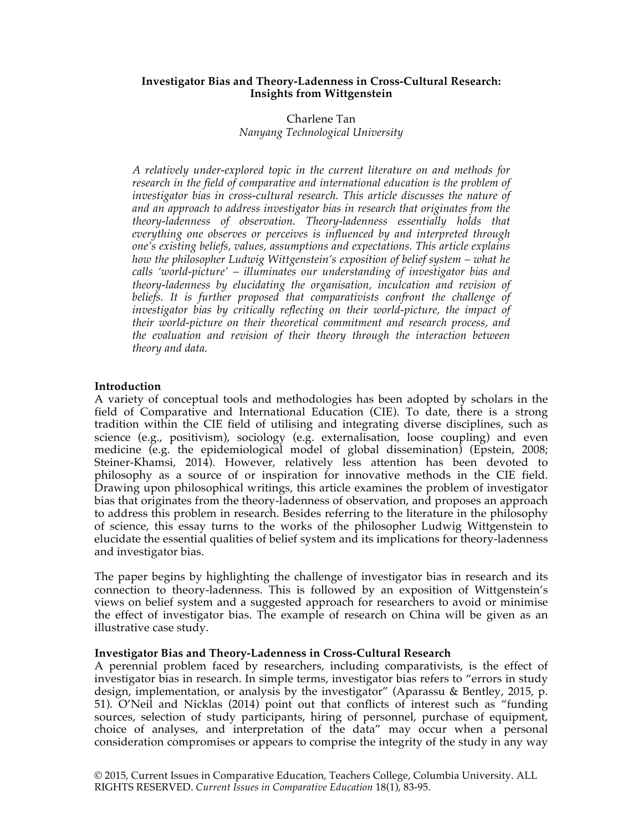#### **Investigator Bias and Theory-Ladenness in Cross-Cultural Research: Insights from Wittgenstein**

# Charlene Tan *Nanyang Technological University*

*A relatively under-explored topic in the current literature on and methods for research in the field of comparative and international education is the problem of investigator bias in cross-cultural research. This article discusses the nature of and an approach to address investigator bias in research that originates from the theory-ladenness of observation. Theory-ladenness essentially holds that everything one observes or perceives is influenced by and interpreted through one's existing beliefs, values, assumptions and expectations. This article explains how the philosopher Ludwig Wittgenstein's exposition of belief system – what he calls 'world-picture' – illuminates our understanding of investigator bias and theory-ladenness by elucidating the organisation, inculcation and revision of beliefs. It is further proposed that comparativists confront the challenge of investigator bias by critically reflecting on their world-picture, the impact of their world-picture on their theoretical commitment and research process, and the evaluation and revision of their theory through the interaction between theory and data.*

# **Introduction**

A variety of conceptual tools and methodologies has been adopted by scholars in the field of Comparative and International Education (CIE). To date, there is a strong tradition within the CIE field of utilising and integrating diverse disciplines, such as science (e.g., positivism), sociology (e.g. externalisation, loose coupling) and even medicine (e.g. the epidemiological model of global dissemination) (Epstein, 2008; Steiner-Khamsi, 2014). However, relatively less attention has been devoted to philosophy as a source of or inspiration for innovative methods in the CIE field. Drawing upon philosophical writings, this article examines the problem of investigator bias that originates from the theory-ladenness of observation, and proposes an approach to address this problem in research. Besides referring to the literature in the philosophy of science, this essay turns to the works of the philosopher Ludwig Wittgenstein to elucidate the essential qualities of belief system and its implications for theory-ladenness and investigator bias.

The paper begins by highlighting the challenge of investigator bias in research and its connection to theory-ladenness. This is followed by an exposition of Wittgenstein's views on belief system and a suggested approach for researchers to avoid or minimise the effect of investigator bias. The example of research on China will be given as an illustrative case study.

# **Investigator Bias and Theory-Ladenness in Cross-Cultural Research**

A perennial problem faced by researchers, including comparativists, is the effect of investigator bias in research. In simple terms, investigator bias refers to "errors in study design, implementation, or analysis by the investigator" (Aparassu & Bentley, 2015, p. 51). O'Neil and Nicklas (2014) point out that conflicts of interest such as "funding sources, selection of study participants, hiring of personnel, purchase of equipment, choice of analyses, and interpretation of the data" may occur when a personal consideration compromises or appears to comprise the integrity of the study in any way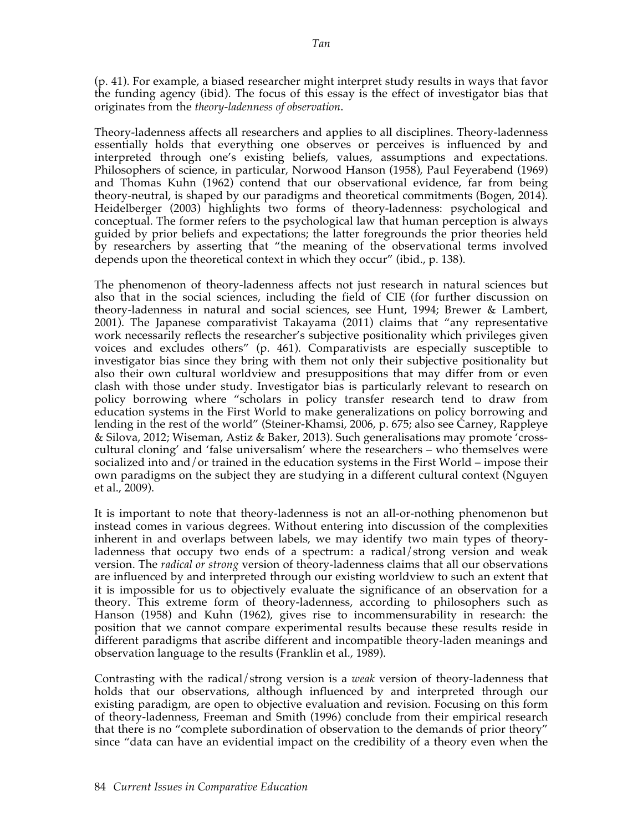(p. 41). For example, a biased researcher might interpret study results in ways that favor the funding agency (ibid). The focus of this essay is the effect of investigator bias that originates from the *theory-ladenness of observation*.

Theory-ladenness affects all researchers and applies to all disciplines. Theory-ladenness essentially holds that everything one observes or perceives is influenced by and interpreted through one's existing beliefs, values, assumptions and expectations. Philosophers of science, in particular, Norwood Hanson (1958), Paul Feyerabend (1969) and Thomas Kuhn (1962) contend that our observational evidence, far from being theory-neutral, is shaped by our paradigms and theoretical commitments (Bogen, 2014). Heidelberger (2003) highlights two forms of theory-ladenness: psychological and conceptual. The former refers to the psychological law that human perception is always guided by prior beliefs and expectations; the latter foregrounds the prior theories held by researchers by asserting that "the meaning of the observational terms involved depends upon the theoretical context in which they occur" (ibid., p. 138).

The phenomenon of theory-ladenness affects not just research in natural sciences but also that in the social sciences, including the field of CIE (for further discussion on theory-ladenness in natural and social sciences, see Hunt, 1994; Brewer & Lambert, 2001). The Japanese comparativist Takayama (2011) claims that "any representative work necessarily reflects the researcher's subjective positionality which privileges given voices and excludes others" (p. 461). Comparativists are especially susceptible to investigator bias since they bring with them not only their subjective positionality but also their own cultural worldview and presuppositions that may differ from or even clash with those under study. Investigator bias is particularly relevant to research on policy borrowing where "scholars in policy transfer research tend to draw from education systems in the First World to make generalizations on policy borrowing and lending in the rest of the world" (Steiner-Khamsi, 2006, p. 675; also see Carney, Rappleye & Silova, 2012; Wiseman, Astiz & Baker, 2013). Such generalisations may promote 'crosscultural cloning' and 'false universalism' where the researchers – who themselves were socialized into and/or trained in the education systems in the First World – impose their own paradigms on the subject they are studying in a different cultural context (Nguyen et al., 2009).

It is important to note that theory-ladenness is not an all-or-nothing phenomenon but instead comes in various degrees. Without entering into discussion of the complexities inherent in and overlaps between labels, we may identify two main types of theoryladenness that occupy two ends of a spectrum: a radical/strong version and weak version. The *radical or strong* version of theory-ladenness claims that all our observations are influenced by and interpreted through our existing worldview to such an extent that it is impossible for us to objectively evaluate the significance of an observation for a theory. This extreme form of theory-ladenness, according to philosophers such as Hanson (1958) and Kuhn (1962), gives rise to incommensurability in research: the position that we cannot compare experimental results because these results reside in different paradigms that ascribe different and incompatible theory-laden meanings and observation language to the results (Franklin et al., 1989).

Contrasting with the radical/strong version is a *weak* version of theory-ladenness that holds that our observations, although influenced by and interpreted through our existing paradigm, are open to objective evaluation and revision. Focusing on this form of theory-ladenness, Freeman and Smith (1996) conclude from their empirical research that there is no "complete subordination of observation to the demands of prior theory" since "data can have an evidential impact on the credibility of a theory even when the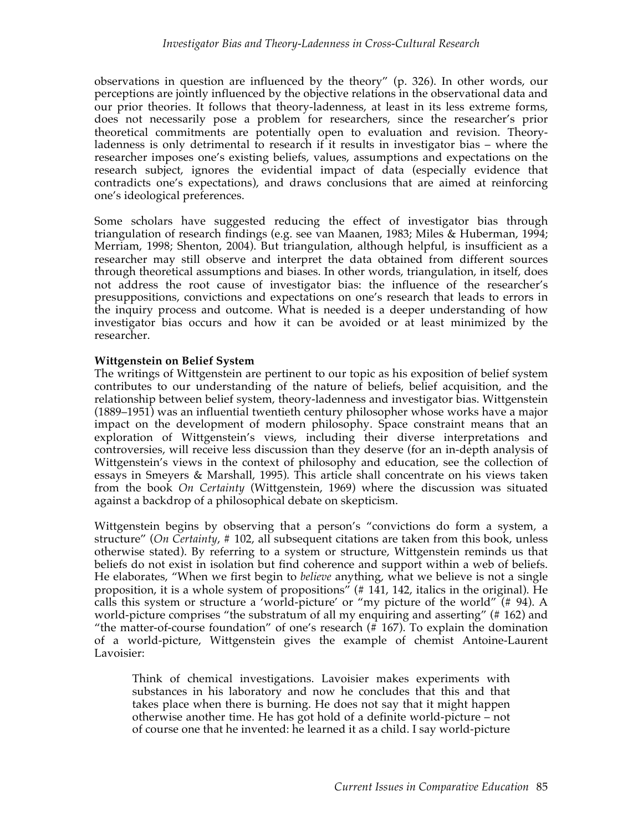observations in question are influenced by the theory" (p. 326). In other words, our perceptions are jointly influenced by the objective relations in the observational data and our prior theories. It follows that theory-ladenness, at least in its less extreme forms, does not necessarily pose a problem for researchers, since the researcher's prior theoretical commitments are potentially open to evaluation and revision. Theoryladenness is only detrimental to research if it results in investigator bias – where the researcher imposes one's existing beliefs, values, assumptions and expectations on the research subject, ignores the evidential impact of data (especially evidence that contradicts one's expectations), and draws conclusions that are aimed at reinforcing one's ideological preferences.

Some scholars have suggested reducing the effect of investigator bias through triangulation of research findings (e.g. see van Maanen, 1983; Miles & Huberman, 1994; Merriam, 1998; Shenton, 2004). But triangulation, although helpful, is insufficient as a researcher may still observe and interpret the data obtained from different sources through theoretical assumptions and biases. In other words, triangulation, in itself, does not address the root cause of investigator bias: the influence of the researcher's presuppositions, convictions and expectations on one's research that leads to errors in the inquiry process and outcome. What is needed is a deeper understanding of how investigator bias occurs and how it can be avoided or at least minimized by the researcher.

# **Wittgenstein on Belief System**

The writings of Wittgenstein are pertinent to our topic as his exposition of belief system contributes to our understanding of the nature of beliefs, belief acquisition, and the relationship between belief system, theory-ladenness and investigator bias. Wittgenstein (1889–1951) was an influential twentieth century philosopher whose works have a major impact on the development of modern philosophy. Space constraint means that an exploration of Wittgenstein's views, including their diverse interpretations and controversies, will receive less discussion than they deserve (for an in-depth analysis of Wittgenstein's views in the context of philosophy and education, see the collection of essays in Smeyers & Marshall, 1995). This article shall concentrate on his views taken from the book *On Certainty* (Wittgenstein, 1969) where the discussion was situated against a backdrop of a philosophical debate on skepticism.

Wittgenstein begins by observing that a person's "convictions do form a system, a structure" (*On Certainty*, # 102, all subsequent citations are taken from this book, unless otherwise stated). By referring to a system or structure, Wittgenstein reminds us that beliefs do not exist in isolation but find coherence and support within a web of beliefs. He elaborates, "When we first begin to *believe* anything, what we believe is not a single proposition, it is a whole system of propositions"  $(\# 141, 142, \text{ italics in the original})$ . He calls this system or structure a 'world-picture' or "my picture of the world"  $(# 94)$ . A world-picture comprises "the substratum of all my enquiring and asserting" (# 162) and "the matter-of-course foundation" of one's research (# 167). To explain the domination of a world-picture, Wittgenstein gives the example of chemist Antoine-Laurent Lavoisier:

Think of chemical investigations. Lavoisier makes experiments with substances in his laboratory and now he concludes that this and that takes place when there is burning. He does not say that it might happen otherwise another time. He has got hold of a definite world-picture – not of course one that he invented: he learned it as a child. I say world-picture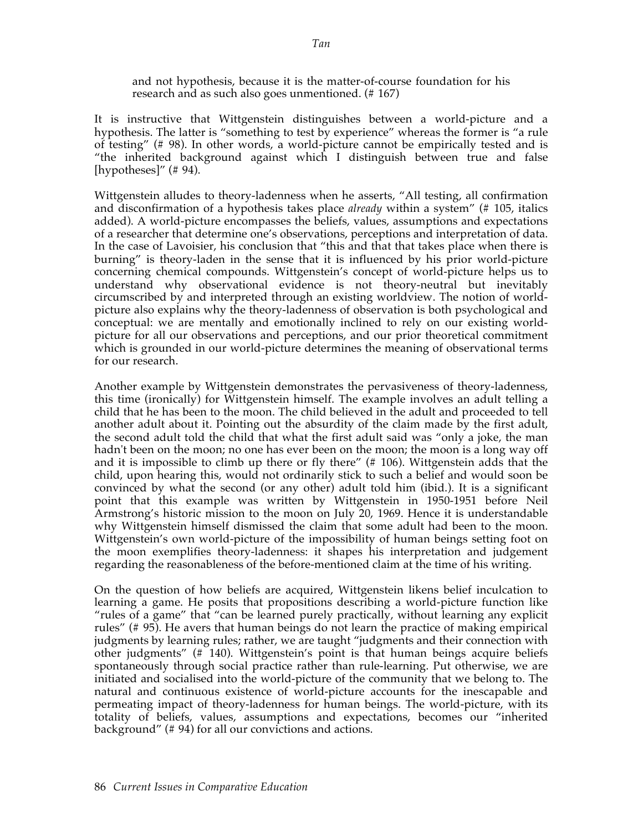and not hypothesis, because it is the matter-of-course foundation for his research and as such also goes unmentioned. (# 167)

It is instructive that Wittgenstein distinguishes between a world-picture and a hypothesis. The latter is "something to test by experience" whereas the former is "a rule of testing" (# 98). In other words, a world-picture cannot be empirically tested and is "the inherited background against which I distinguish between true and false [hypotheses]"  $(\# 94)$ .

Wittgenstein alludes to theory-ladenness when he asserts, "All testing, all confirmation and disconfirmation of a hypothesis takes place *already* within a system" (# 105, italics added). A world-picture encompasses the beliefs, values, assumptions and expectations of a researcher that determine one's observations, perceptions and interpretation of data. In the case of Lavoisier, his conclusion that "this and that that takes place when there is burning" is theory-laden in the sense that it is influenced by his prior world-picture concerning chemical compounds. Wittgenstein's concept of world-picture helps us to understand why observational evidence is not theory-neutral but inevitably circumscribed by and interpreted through an existing worldview. The notion of worldpicture also explains why the theory-ladenness of observation is both psychological and conceptual: we are mentally and emotionally inclined to rely on our existing worldpicture for all our observations and perceptions, and our prior theoretical commitment which is grounded in our world-picture determines the meaning of observational terms for our research.

Another example by Wittgenstein demonstrates the pervasiveness of theory-ladenness, this time (ironically) for Wittgenstein himself. The example involves an adult telling a child that he has been to the moon. The child believed in the adult and proceeded to tell another adult about it. Pointing out the absurdity of the claim made by the first adult, the second adult told the child that what the first adult said was "only a joke, the man hadn't been on the moon; no one has ever been on the moon; the moon is a long way off and it is impossible to climb up there or fly there" (# 106). Wittgenstein adds that the child, upon hearing this, would not ordinarily stick to such a belief and would soon be convinced by what the second (or any other) adult told him (ibid.). It is a significant point that this example was written by Wittgenstein in 1950-1951 before Neil Armstrong's historic mission to the moon on July 20, 1969. Hence it is understandable why Wittgenstein himself dismissed the claim that some adult had been to the moon. Wittgenstein's own world-picture of the impossibility of human beings setting foot on the moon exemplifies theory-ladenness: it shapes his interpretation and judgement regarding the reasonableness of the before-mentioned claim at the time of his writing.

On the question of how beliefs are acquired, Wittgenstein likens belief inculcation to learning a game. He posits that propositions describing a world-picture function like "rules of a game" that "can be learned purely practically, without learning any explicit rules" (# 95). He avers that human beings do not learn the practice of making empirical judgments by learning rules; rather, we are taught "judgments and their connection with other judgments" (# 140). Wittgenstein's point is that human beings acquire beliefs spontaneously through social practice rather than rule-learning. Put otherwise, we are initiated and socialised into the world-picture of the community that we belong to. The natural and continuous existence of world-picture accounts for the inescapable and permeating impact of theory-ladenness for human beings. The world-picture, with its totality of beliefs, values, assumptions and expectations, becomes our "inherited background" (# 94) for all our convictions and actions.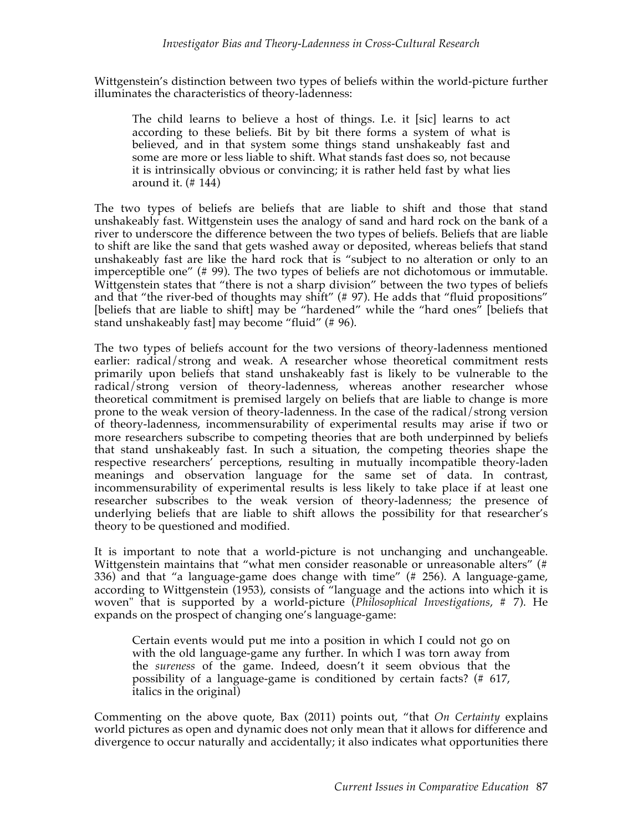Wittgenstein's distinction between two types of beliefs within the world-picture further illuminates the characteristics of theory-ladenness:

The child learns to believe a host of things. I.e. it [sic] learns to act according to these beliefs. Bit by bit there forms a system of what is believed, and in that system some things stand unshakeably fast and some are more or less liable to shift. What stands fast does so, not because it is intrinsically obvious or convincing; it is rather held fast by what lies around it. (# 144)

The two types of beliefs are beliefs that are liable to shift and those that stand unshakeably fast. Wittgenstein uses the analogy of sand and hard rock on the bank of a river to underscore the difference between the two types of beliefs. Beliefs that are liable to shift are like the sand that gets washed away or deposited, whereas beliefs that stand unshakeably fast are like the hard rock that is "subject to no alteration or only to an imperceptible one" (# 99). The two types of beliefs are not dichotomous or immutable. Wittgenstein states that "there is not a sharp division" between the two types of beliefs and that "the river-bed of thoughts may shift" (# 97). He adds that "fluid propositions" [beliefs that are liable to shift] may be "hardened" while the "hard ones" [beliefs that stand unshakeably fast] may become "fluid" (# 96).

The two types of beliefs account for the two versions of theory-ladenness mentioned earlier: radical/strong and weak. A researcher whose theoretical commitment rests primarily upon beliefs that stand unshakeably fast is likely to be vulnerable to the radical/strong version of theory-ladenness, whereas another researcher whose theoretical commitment is premised largely on beliefs that are liable to change is more prone to the weak version of theory-ladenness. In the case of the radical/strong version of theory-ladenness, incommensurability of experimental results may arise if two or more researchers subscribe to competing theories that are both underpinned by beliefs that stand unshakeably fast. In such a situation, the competing theories shape the respective researchers' perceptions, resulting in mutually incompatible theory-laden meanings and observation language for the same set of data. In contrast, incommensurability of experimental results is less likely to take place if at least one researcher subscribes to the weak version of theory-ladenness; the presence of underlying beliefs that are liable to shift allows the possibility for that researcher's theory to be questioned and modified.

It is important to note that a world-picture is not unchanging and unchangeable. Wittgenstein maintains that "what men consider reasonable or unreasonable alters" (# 336) and that "a language-game does change with time" (# 256). A language-game, according to Wittgenstein (1953), consists of "language and the actions into which it is woven" that is supported by a world-picture (*Philosophical Investigations*, # 7). He expands on the prospect of changing one's language-game:

Certain events would put me into a position in which I could not go on with the old language-game any further. In which I was torn away from the *sureness* of the game. Indeed, doesn't it seem obvious that the possibility of a language-game is conditioned by certain facts? (# 617, italics in the original)

Commenting on the above quote, Bax (2011) points out, "that *On Certainty* explains world pictures as open and dynamic does not only mean that it allows for difference and divergence to occur naturally and accidentally; it also indicates what opportunities there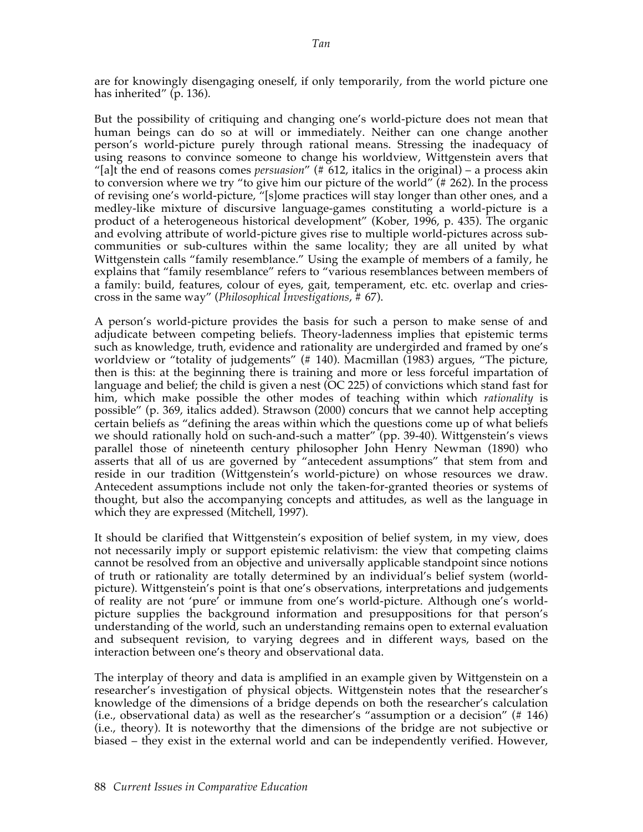are for knowingly disengaging oneself, if only temporarily, from the world picture one has inherited" (p. 136).

But the possibility of critiquing and changing one's world-picture does not mean that human beings can do so at will or immediately. Neither can one change another person's world-picture purely through rational means. Stressing the inadequacy of using reasons to convince someone to change his worldview, Wittgenstein avers that "[a]t the end of reasons comes *persuasion*" (# 612, italics in the original) – a process akin to conversion where we try "to give him our picture of the world" (# 262). In the process of revising one's world-picture, "[s]ome practices will stay longer than other ones, and a medley-like mixture of discursive language-games constituting a world-picture is a product of a heterogeneous historical development" (Kober, 1996, p. 435). The organic and evolving attribute of world-picture gives rise to multiple world-pictures across subcommunities or sub-cultures within the same locality; they are all united by what Wittgenstein calls "family resemblance." Using the example of members of a family, he explains that "family resemblance" refers to "various resemblances between members of a family: build, features, colour of eyes, gait, temperament, etc. etc. overlap and criescross in the same way" (*Philosophical Investigations*, # 67).

A person's world-picture provides the basis for such a person to make sense of and adjudicate between competing beliefs. Theory-ladenness implies that epistemic terms such as knowledge, truth, evidence and rationality are undergirded and framed by one's worldview or "totality of judgements" (# 140). Macmillan (1983) argues, "The picture, then is this: at the beginning there is training and more or less forceful impartation of language and belief; the child is given a nest (OC 225) of convictions which stand fast for him, which make possible the other modes of teaching within which *rationality* is possible" (p. 369, italics added). Strawson (2000) concurs that we cannot help accepting certain beliefs as "defining the areas within which the questions come up of what beliefs we should rationally hold on such-and-such a matter" (pp. 39-40). Wittgenstein's views parallel those of nineteenth century philosopher John Henry Newman (1890) who asserts that all of us are governed by "antecedent assumptions" that stem from and reside in our tradition (Wittgenstein's world-picture) on whose resources we draw. Antecedent assumptions include not only the taken-for-granted theories or systems of thought, but also the accompanying concepts and attitudes, as well as the language in which they are expressed (Mitchell, 1997).

It should be clarified that Wittgenstein's exposition of belief system, in my view, does not necessarily imply or support epistemic relativism: the view that competing claims cannot be resolved from an objective and universally applicable standpoint since notions of truth or rationality are totally determined by an individual's belief system (worldpicture). Wittgenstein's point is that one's observations, interpretations and judgements of reality are not 'pure' or immune from one's world-picture. Although one's worldpicture supplies the background information and presuppositions for that person's understanding of the world, such an understanding remains open to external evaluation and subsequent revision, to varying degrees and in different ways, based on the interaction between one's theory and observational data.

The interplay of theory and data is amplified in an example given by Wittgenstein on a researcher's investigation of physical objects. Wittgenstein notes that the researcher's knowledge of the dimensions of a bridge depends on both the researcher's calculation (i.e., observational data) as well as the researcher's "assumption or a decision" (# 146) (i.e., theory). It is noteworthy that the dimensions of the bridge are not subjective or biased – they exist in the external world and can be independently verified. However,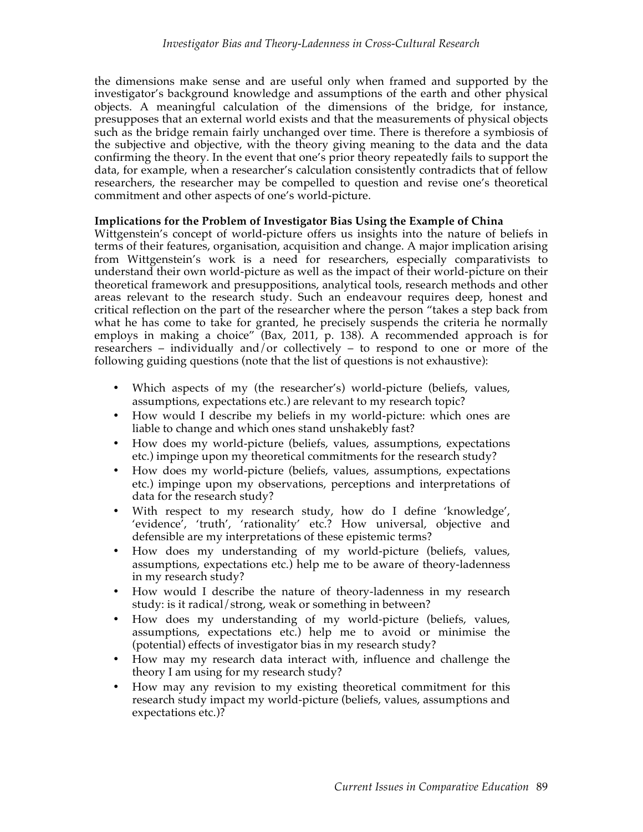the dimensions make sense and are useful only when framed and supported by the investigator's background knowledge and assumptions of the earth and other physical objects. A meaningful calculation of the dimensions of the bridge, for instance, presupposes that an external world exists and that the measurements of physical objects such as the bridge remain fairly unchanged over time. There is therefore a symbiosis of the subjective and objective, with the theory giving meaning to the data and the data confirming the theory. In the event that one's prior theory repeatedly fails to support the data, for example, when a researcher's calculation consistently contradicts that of fellow researchers, the researcher may be compelled to question and revise one's theoretical commitment and other aspects of one's world-picture.

# **Implications for the Problem of Investigator Bias Using the Example of China**

Wittgenstein's concept of world-picture offers us insights into the nature of beliefs in terms of their features, organisation, acquisition and change. A major implication arising from Wittgenstein's work is a need for researchers, especially comparativists to understand their own world-picture as well as the impact of their world-picture on their theoretical framework and presuppositions, analytical tools, research methods and other areas relevant to the research study. Such an endeavour requires deep, honest and critical reflection on the part of the researcher where the person "takes a step back from what he has come to take for granted, he precisely suspends the criteria he normally employs in making a choice" (Bax, 2011, p. 138). A recommended approach is for researchers – individually and/or collectively – to respond to one or more of the following guiding questions (note that the list of questions is not exhaustive):

- Which aspects of my (the researcher's) world-picture (beliefs, values, assumptions, expectations etc.) are relevant to my research topic?
- How would I describe my beliefs in my world-picture: which ones are liable to change and which ones stand unshakebly fast?
- How does my world-picture (beliefs, values, assumptions, expectations etc.) impinge upon my theoretical commitments for the research study?
- How does my world-picture (beliefs, values, assumptions, expectations etc.) impinge upon my observations, perceptions and interpretations of data for the research study?
- With respect to my research study, how do I define 'knowledge', 'evidence', 'truth', 'rationality' etc.? How universal, objective and defensible are my interpretations of these epistemic terms?
- How does my understanding of my world-picture (beliefs, values, assumptions, expectations etc.) help me to be aware of theory-ladenness in my research study?
- How would I describe the nature of theory-ladenness in my research study: is it radical/strong, weak or something in between?
- How does my understanding of my world-picture (beliefs, values, assumptions, expectations etc.) help me to avoid or minimise the (potential) effects of investigator bias in my research study?
- How may my research data interact with, influence and challenge the theory I am using for my research study?
- How may any revision to my existing theoretical commitment for this research study impact my world-picture (beliefs, values, assumptions and expectations etc.)?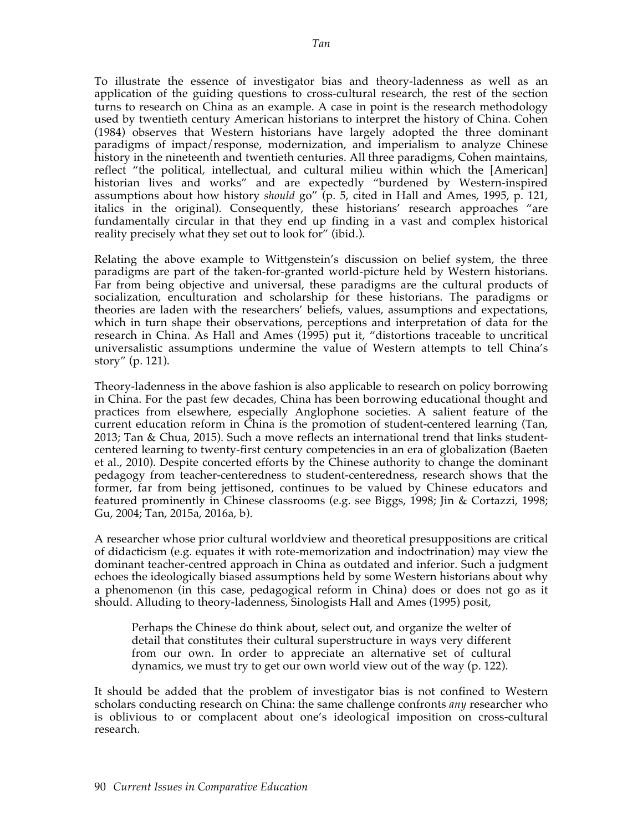To illustrate the essence of investigator bias and theory-ladenness as well as an application of the guiding questions to cross-cultural research, the rest of the section turns to research on China as an example. A case in point is the research methodology used by twentieth century American historians to interpret the history of China. Cohen (1984) observes that Western historians have largely adopted the three dominant paradigms of impact/response, modernization, and imperialism to analyze Chinese history in the nineteenth and twentieth centuries. All three paradigms, Cohen maintains, reflect "the political, intellectual, and cultural milieu within which the [American] historian lives and works" and are expectedly "burdened by Western-inspired assumptions about how history *should* go" (p. 5, cited in Hall and Ames, 1995, p. 121, italics in the original). Consequently, these historians' research approaches "are fundamentally circular in that they end up finding in a vast and complex historical reality precisely what they set out to look for" (ibid.).

Relating the above example to Wittgenstein's discussion on belief system, the three paradigms are part of the taken-for-granted world-picture held by Western historians. Far from being objective and universal, these paradigms are the cultural products of socialization, enculturation and scholarship for these historians. The paradigms or theories are laden with the researchers' beliefs, values, assumptions and expectations, which in turn shape their observations, perceptions and interpretation of data for the research in China. As Hall and Ames (1995) put it, "distortions traceable to uncritical universalistic assumptions undermine the value of Western attempts to tell China's story" (p. 121).

Theory-ladenness in the above fashion is also applicable to research on policy borrowing in China. For the past few decades, China has been borrowing educational thought and practices from elsewhere, especially Anglophone societies. A salient feature of the current education reform in China is the promotion of student-centered learning (Tan, 2013; Tan & Chua, 2015). Such a move reflects an international trend that links studentcentered learning to twenty-first century competencies in an era of globalization (Baeten et al., 2010). Despite concerted efforts by the Chinese authority to change the dominant pedagogy from teacher-centeredness to student-centeredness, research shows that the former, far from being jettisoned, continues to be valued by Chinese educators and featured prominently in Chinese classrooms (e.g. see Biggs, 1998; Jin & Cortazzi, 1998; Gu, 2004; Tan, 2015a, 2016a, b).

A researcher whose prior cultural worldview and theoretical presuppositions are critical of didacticism (e.g. equates it with rote-memorization and indoctrination) may view the dominant teacher-centred approach in China as outdated and inferior. Such a judgment echoes the ideologically biased assumptions held by some Western historians about why a phenomenon (in this case, pedagogical reform in China) does or does not go as it should. Alluding to theory-ladenness, Sinologists Hall and Ames (1995) posit,

Perhaps the Chinese do think about, select out, and organize the welter of detail that constitutes their cultural superstructure in ways very different from our own. In order to appreciate an alternative set of cultural dynamics, we must try to get our own world view out of the way (p. 122).

It should be added that the problem of investigator bias is not confined to Western scholars conducting research on China: the same challenge confronts *any* researcher who is oblivious to or complacent about one's ideological imposition on cross-cultural research.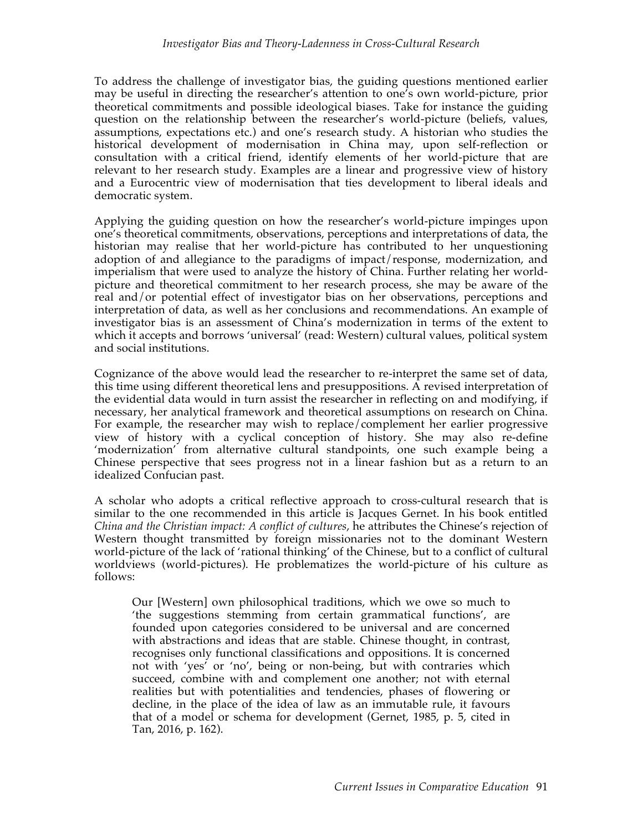To address the challenge of investigator bias, the guiding questions mentioned earlier may be useful in directing the researcher's attention to one's own world-picture, prior theoretical commitments and possible ideological biases. Take for instance the guiding question on the relationship between the researcher's world-picture (beliefs, values, assumptions, expectations etc.) and one's research study. A historian who studies the historical development of modernisation in China may, upon self-reflection or consultation with a critical friend, identify elements of her world-picture that are relevant to her research study. Examples are a linear and progressive view of history and a Eurocentric view of modernisation that ties development to liberal ideals and democratic system.

Applying the guiding question on how the researcher's world-picture impinges upon one's theoretical commitments, observations, perceptions and interpretations of data, the historian may realise that her world-picture has contributed to her unquestioning adoption of and allegiance to the paradigms of impact/response, modernization, and imperialism that were used to analyze the history of China. Further relating her worldpicture and theoretical commitment to her research process, she may be aware of the real and/or potential effect of investigator bias on her observations, perceptions and interpretation of data, as well as her conclusions and recommendations. An example of investigator bias is an assessment of China's modernization in terms of the extent to which it accepts and borrows 'universal' (read: Western) cultural values, political system and social institutions.

Cognizance of the above would lead the researcher to re-interpret the same set of data, this time using different theoretical lens and presuppositions. A revised interpretation of the evidential data would in turn assist the researcher in reflecting on and modifying, if necessary, her analytical framework and theoretical assumptions on research on China. For example, the researcher may wish to replace/complement her earlier progressive view of history with a cyclical conception of history. She may also re-define 'modernization' from alternative cultural standpoints, one such example being a Chinese perspective that sees progress not in a linear fashion but as a return to an idealized Confucian past.

A scholar who adopts a critical reflective approach to cross-cultural research that is similar to the one recommended in this article is Jacques Gernet. In his book entitled *China and the Christian impact: A conflict of cultures*, he attributes the Chinese's rejection of Western thought transmitted by foreign missionaries not to the dominant Western world-picture of the lack of 'rational thinking' of the Chinese, but to a conflict of cultural worldviews (world-pictures). He problematizes the world-picture of his culture as follows:

Our [Western] own philosophical traditions, which we owe so much to 'the suggestions stemming from certain grammatical functions', are founded upon categories considered to be universal and are concerned with abstractions and ideas that are stable. Chinese thought, in contrast, recognises only functional classifications and oppositions. It is concerned not with 'yes' or 'no', being or non-being, but with contraries which succeed, combine with and complement one another; not with eternal realities but with potentialities and tendencies, phases of flowering or decline, in the place of the idea of law as an immutable rule, it favours that of a model or schema for development (Gernet, 1985, p. 5, cited in Tan, 2016, p. 162).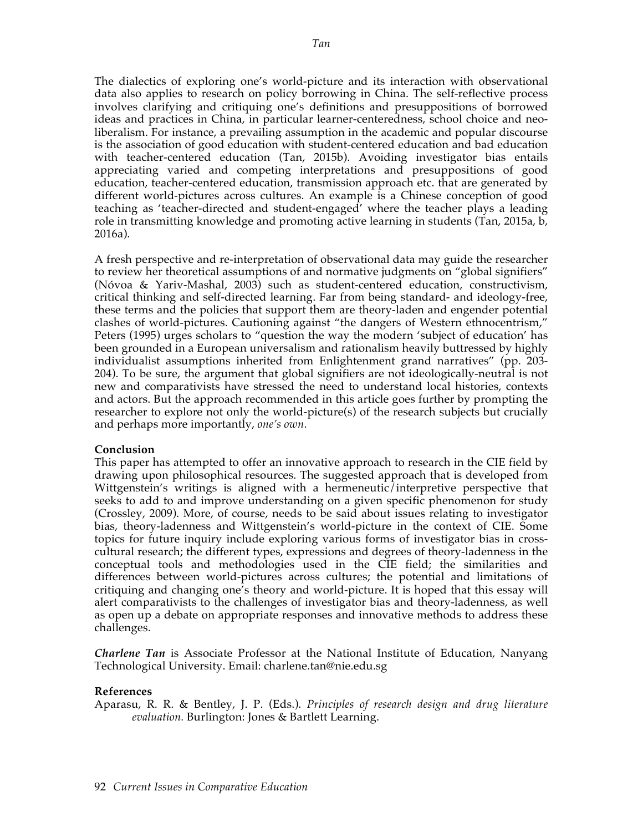The dialectics of exploring one's world-picture and its interaction with observational data also applies to research on policy borrowing in China. The self-reflective process involves clarifying and critiquing one's definitions and presuppositions of borrowed ideas and practices in China, in particular learner-centeredness, school choice and neoliberalism. For instance, a prevailing assumption in the academic and popular discourse is the association of good education with student-centered education and bad education with teacher-centered education (Tan, 2015b). Avoiding investigator bias entails appreciating varied and competing interpretations and presuppositions of good education, teacher-centered education, transmission approach etc. that are generated by different world-pictures across cultures. An example is a Chinese conception of good teaching as 'teacher-directed and student-engaged' where the teacher plays a leading role in transmitting knowledge and promoting active learning in students (Tan, 2015a, b, 2016a).

A fresh perspective and re-interpretation of observational data may guide the researcher to review her theoretical assumptions of and normative judgments on "global signifiers" (Nóvoa & Yariv-Mashal, 2003) such as student-centered education, constructivism, critical thinking and self-directed learning. Far from being standard- and ideology-free, these terms and the policies that support them are theory-laden and engender potential clashes of world-pictures. Cautioning against "the dangers of Western ethnocentrism," Peters (1995) urges scholars to "question the way the modern 'subject of education' has been grounded in a European universalism and rationalism heavily buttressed by highly individualist assumptions inherited from Enlightenment grand narratives" (pp. 203- 204). To be sure, the argument that global signifiers are not ideologically-neutral is not new and comparativists have stressed the need to understand local histories, contexts and actors. But the approach recommended in this article goes further by prompting the researcher to explore not only the world-picture(s) of the research subjects but crucially and perhaps more importantly, *one's own*.

# **Conclusion**

This paper has attempted to offer an innovative approach to research in the CIE field by drawing upon philosophical resources. The suggested approach that is developed from Wittgenstein's writings is aligned with a hermeneutic/interpretive perspective that seeks to add to and improve understanding on a given specific phenomenon for study (Crossley, 2009). More, of course, needs to be said about issues relating to investigator bias, theory-ladenness and Wittgenstein's world-picture in the context of CIE. Some topics for future inquiry include exploring various forms of investigator bias in crosscultural research; the different types, expressions and degrees of theory-ladenness in the conceptual tools and methodologies used in the CIE field; the similarities and differences between world-pictures across cultures; the potential and limitations of critiquing and changing one's theory and world-picture. It is hoped that this essay will alert comparativists to the challenges of investigator bias and theory-ladenness, as well as open up a debate on appropriate responses and innovative methods to address these challenges.

*Charlene Tan* is Associate Professor at the National Institute of Education, Nanyang Technological University. Email: charlene.tan@nie.edu.sg

# **References**

Aparasu, R. R. & Bentley, J. P. (Eds.). *Principles of research design and drug literature evaluation.* Burlington: Jones & Bartlett Learning.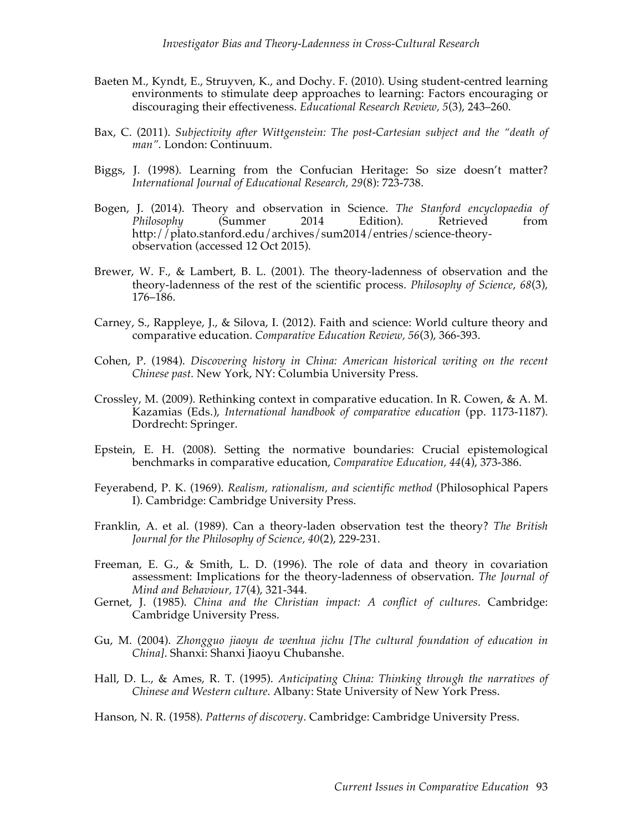- Baeten M., Kyndt, E., Struyven, K., and Dochy. F. (2010). Using student-centred learning environments to stimulate deep approaches to learning: Factors encouraging or discouraging their effectiveness. *Educational Research Review, 5*(3), 243–260.
- Bax, C. (2011). *Subjectivity after Wittgenstein: The post-Cartesian subject and the "death of man".* London: Continuum.
- Biggs, J. (1998). Learning from the Confucian Heritage: So size doesn't matter? *International Journal of Educational Research, 29*(8): 723-738.
- Bogen, J. (2014). Theory and observation in Science. *The Stanford encyclopaedia of Philosophy* (Summer 2014 Edition). Retrieved from http://plato.stanford.edu/archives/sum2014/entries/science-theoryobservation (accessed 12 Oct 2015).
- Brewer, W. F., & Lambert, B. L. (2001). The theory-ladenness of observation and the theory-ladenness of the rest of the scientific process. *Philosophy of Science*, *68*(3), 176–186.
- Carney, S., Rappleye, J., & Silova, I. (2012). Faith and science: World culture theory and comparative education. *Comparative Education Review, 56*(3), 366-393.
- Cohen, P. (1984). *Discovering history in China: American historical writing on the recent Chinese past.* New York, NY: Columbia University Press.
- Crossley, M. (2009). Rethinking context in comparative education. In R. Cowen, & A. M. Kazamias (Eds.), *International handbook of comparative education* (pp. 1173-1187). Dordrecht: Springer.
- Epstein, E. H. (2008). Setting the normative boundaries: Crucial epistemological benchmarks in comparative education, *Comparative Education, 44*(4), 373-386.
- Feyerabend, P. K. (1969). *Realism, rationalism, and scientific method* (Philosophical Papers I). Cambridge: Cambridge University Press.
- Franklin, A. et al. (1989). Can a theory-laden observation test the theory? *The British Journal for the Philosophy of Science, 40*(2), 229-231.
- Freeman, E. G., & Smith, L. D. (1996). The role of data and theory in covariation assessment: Implications for the theory-ladenness of observation. *The Journal of Mind and Behaviour, 17*(4), 321-344.
- Gernet, J. (1985). *China and the Christian impact: A conflict of cultures*. Cambridge: Cambridge University Press.
- Gu, M. (2004). *Zhongguo jiaoyu de wenhua jichu [The cultural foundation of education in China]*. Shanxi: Shanxi Jiaoyu Chubanshe.
- Hall, D. L., & Ames, R. T. (1995). *Anticipating China: Thinking through the narratives of Chinese and Western culture.* Albany: State University of New York Press.
- Hanson, N. R. (1958). *Patterns of discovery*. Cambridge: Cambridge University Press.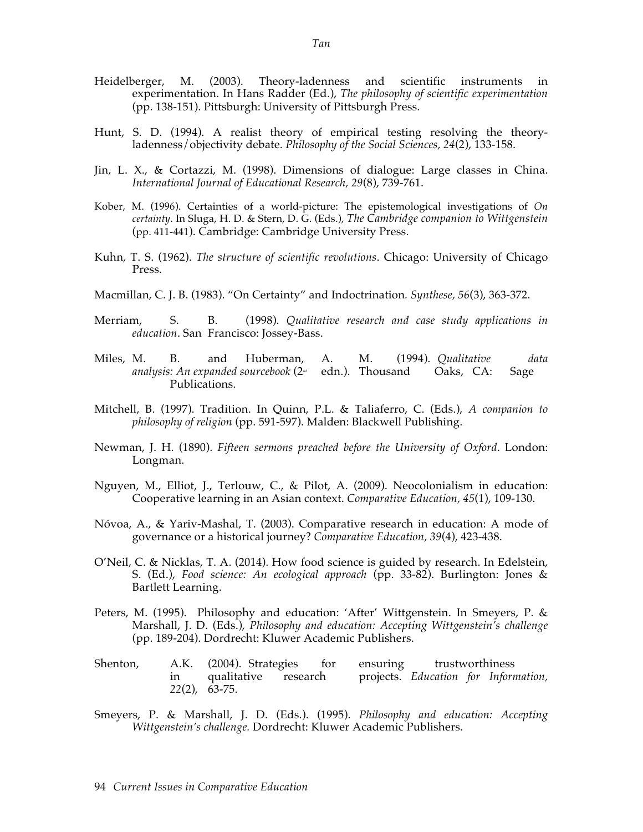- Heidelberger, M. (2003). Theory-ladenness and scientific instruments in experimentation. In Hans Radder (Ed.), *The philosophy of scientific experimentation* (pp. 138-151). Pittsburgh: University of Pittsburgh Press.
- Hunt, S. D. (1994). A realist theory of empirical testing resolving the theoryladenness/objectivity debate. *Philosophy of the Social Sciences, 24*(2), 133-158.
- Jin, L. X., & Cortazzi, M. (1998). Dimensions of dialogue: Large classes in China. *International Journal of Educational Research, 29*(8), 739-761.
- Kober, M. (1996). Certainties of a world-picture: The epistemological investigations of *On certainty*. In Sluga, H. D. & Stern, D. G. (Eds.), *The Cambridge companion to Wittgenstein* (pp. 411-441). Cambridge: Cambridge University Press.
- Kuhn, T. S. (1962). *The structure of scientific revolutions*. Chicago: University of Chicago Press.
- Macmillan, C. J. B. (1983). "On Certainty" and Indoctrination*. Synthese, 56*(3), 363-372.
- Merriam, S. B. (1998). *Qualitative research and case study applications in education*. San Francisco: Jossey-Bass.
- Miles, M. B. and Huberman, A. M. (1994). *Qualitative data*   $analysis: An expanded sourcebook (2<sub>et</sub> edn.).$  Thousand Oaks, CA: Sage Publications.
- Mitchell, B. (1997). Tradition. In Quinn, P.L. & Taliaferro, C. (Eds.), *A companion to philosophy of religion* (pp. 591-597). Malden: Blackwell Publishing.
- Newman, J. H. (1890). *Fifteen sermons preached before the University of Oxford*. London: Longman.
- Nguyen, M., Elliot, J., Terlouw, C., & Pilot, A. (2009). Neocolonialism in education: Cooperative learning in an Asian context. *Comparative Education, 45*(1), 109-130.
- Nóvoa, A., & Yariv-Mashal, T. (2003). Comparative research in education: A mode of governance or a historical journey? *Comparative Education, 39*(4), 423-438.
- O'Neil, C. & Nicklas, T. A. (2014). How food science is guided by research. In Edelstein, S. (Ed.), *Food science: An ecological approach* (pp. 33-82). Burlington: Jones & Bartlett Learning.
- Peters, M. (1995). Philosophy and education: 'After' Wittgenstein. In Smeyers, P. & Marshall, J. D. (Eds.), *Philosophy and education: Accepting Wittgenstein's challenge*  (pp. 189-204). Dordrecht: Kluwer Academic Publishers.
- Shenton, A.K. (2004). Strategies for ensuring trustworthiness in qualitative research projects. *Education for Information, 22*(2), 63-75.
- Smeyers, P. & Marshall, J. D. (Eds.). (1995). *Philosophy and education: Accepting Wittgenstein's challenge.* Dordrecht: Kluwer Academic Publishers.